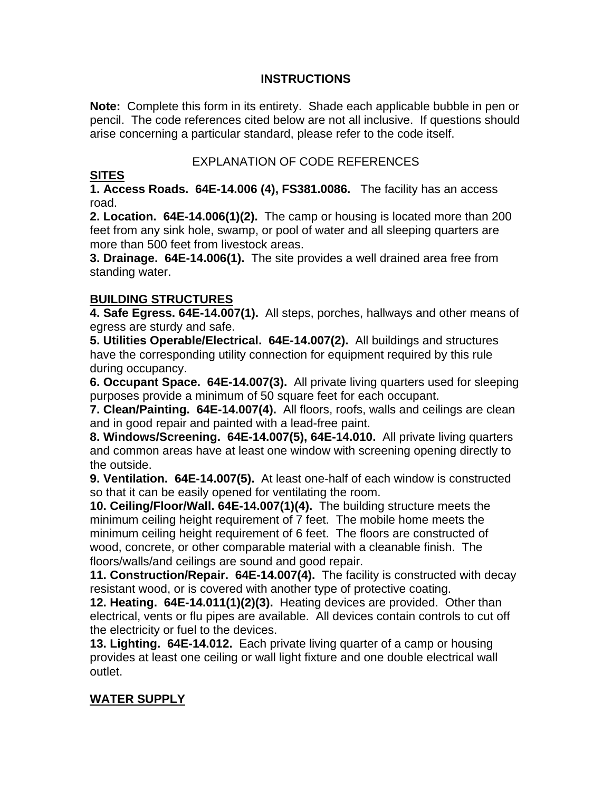#### **INSTRUCTIONS**

**Note:** Complete this form in its entirety. Shade each applicable bubble in pen or pencil. The code references cited below are not all inclusive. If questions should arise concerning a particular standard, please refer to the code itself.

#### EXPLANATION OF CODE REFERENCES

#### **SITES**

**1. Access Roads. 64E-14.006 (4), FS381.0086.** The facility has an access road.

**2. Location. 64E-14.006(1)(2).** The camp or housing is located more than 200 feet from any sink hole, swamp, or pool of water and all sleeping quarters are more than 500 feet from livestock areas.

**3. Drainage. 64E-14.006(1).** The site provides a well drained area free from standing water.

## **BUILDING STRUCTURES**

**4. Safe Egress. 64E-14.007(1).** All steps, porches, hallways and other means of egress are sturdy and safe.

**5. Utilities Operable/Electrical. 64E-14.007(2).** All buildings and structures have the corresponding utility connection for equipment required by this rule during occupancy.

**6. Occupant Space. 64E-14.007(3).** All private living quarters used for sleeping purposes provide a minimum of 50 square feet for each occupant.

**7. Clean/Painting. 64E-14.007(4).** All floors, roofs, walls and ceilings are clean and in good repair and painted with a lead-free paint.

**8. Windows/Screening. 64E-14.007(5), 64E-14.010.** All private living quarters and common areas have at least one window with screening opening directly to the outside.

**9. Ventilation. 64E-14.007(5).** At least one-half of each window is constructed so that it can be easily opened for ventilating the room.

**10. Ceiling/Floor/Wall. 64E-14.007(1)(4).** The building structure meets the minimum ceiling height requirement of 7 feet. The mobile home meets the minimum ceiling height requirement of 6 feet. The floors are constructed of wood, concrete, or other comparable material with a cleanable finish. The floors/walls/and ceilings are sound and good repair.

**11. Construction/Repair. 64E-14.007(4).** The facility is constructed with decay resistant wood, or is covered with another type of protective coating.

**12. Heating. 64E-14.011(1)(2)(3).** Heating devices are provided. Other than electrical, vents or flu pipes are available. All devices contain controls to cut off the electricity or fuel to the devices.

**13. Lighting. 64E-14.012.** Each private living quarter of a camp or housing provides at least one ceiling or wall light fixture and one double electrical wall outlet.

# **WATER SUPPLY**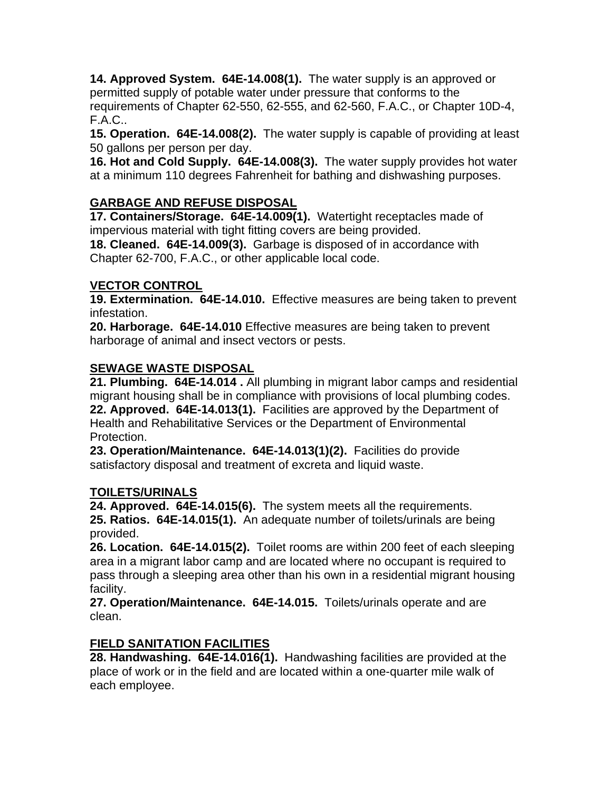**14. Approved System. 64E-14.008(1).** The water supply is an approved or permitted supply of potable water under pressure that conforms to the requirements of Chapter 62-550, 62-555, and 62-560, F.A.C., or Chapter 10D-4, F.A.C..

**15. Operation. 64E-14.008(2).** The water supply is capable of providing at least 50 gallons per person per day.

**16. Hot and Cold Supply. 64E-14.008(3).** The water supply provides hot water at a minimum 110 degrees Fahrenheit for bathing and dishwashing purposes.

# **GARBAGE AND REFUSE DISPOSAL**

**17. Containers/Storage. 64E-14.009(1).** Watertight receptacles made of impervious material with tight fitting covers are being provided.

**18. Cleaned. 64E-14.009(3).** Garbage is disposed of in accordance with Chapter 62-700, F.A.C., or other applicable local code.

## **VECTOR CONTROL**

**19. Extermination. 64E-14.010.** Effective measures are being taken to prevent infestation.

**20. Harborage. 64E-14.010** Effective measures are being taken to prevent harborage of animal and insect vectors or pests.

## **SEWAGE WASTE DISPOSAL**

**21. Plumbing. 64E-14.014 .** All plumbing in migrant labor camps and residential migrant housing shall be in compliance with provisions of local plumbing codes. **22. Approved. 64E-14.013(1).** Facilities are approved by the Department of Health and Rehabilitative Services or the Department of Environmental Protection.

**23. Operation/Maintenance. 64E-14.013(1)(2).** Facilities do provide satisfactory disposal and treatment of excreta and liquid waste.

#### **TOILETS/URINALS**

**24. Approved. 64E-14.015(6).** The system meets all the requirements. **25. Ratios. 64E-14.015(1).** An adequate number of toilets/urinals are being provided.

**26. Location. 64E-14.015(2).** Toilet rooms are within 200 feet of each sleeping area in a migrant labor camp and are located where no occupant is required to pass through a sleeping area other than his own in a residential migrant housing facility.

**27. Operation/Maintenance. 64E-14.015.** Toilets/urinals operate and are clean.

# **FIELD SANITATION FACILITIES**

**28. Handwashing. 64E-14.016(1).** Handwashing facilities are provided at the place of work or in the field and are located within a one-quarter mile walk of each employee.